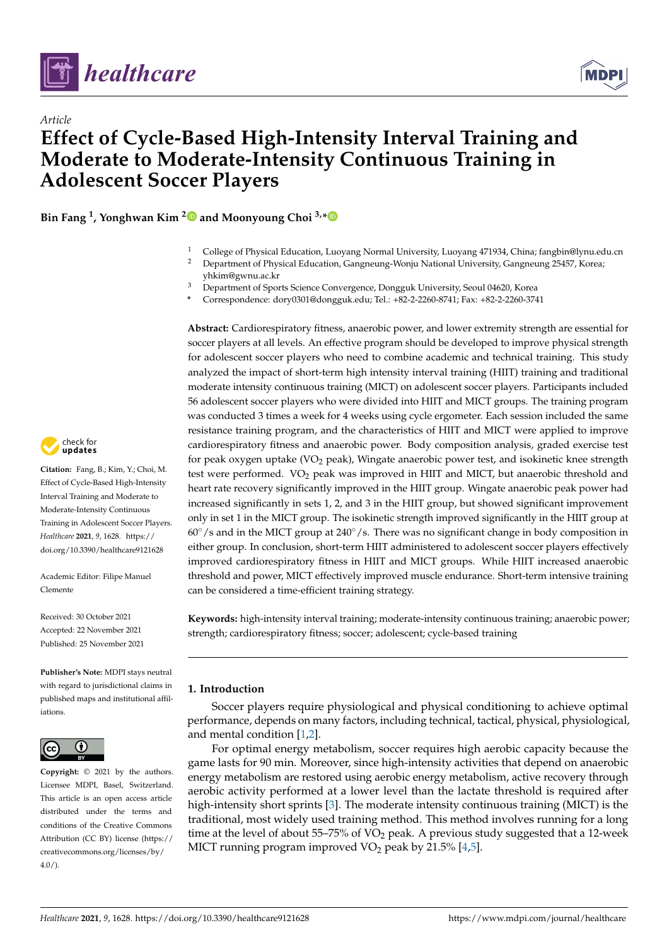

*Article*



# **Effect of Cycle-Based High-Intensity Interval Training and Moderate to Moderate-Intensity Continuous Training in Adolescent Soccer Players**

**Bin Fang <sup>1</sup> , Yonghwan Kim [2](https://orcid.org/0000-0002-1327-8998) and Moonyoung Choi 3,[\\*](https://orcid.org/0000-0002-1381-1166)**

- <sup>1</sup> College of Physical Education, Luoyang Normal University, Luoyang 471934, China; fangbin@lynu.edu.cn
- <sup>2</sup> Department of Physical Education, Gangneung-Wonju National University, Gangneung 25457, Korea; yhkim@gwnu.ac.kr
- <sup>3</sup> Department of Sports Science Convergence, Dongguk University, Seoul 04620, Korea
- **\*** Correspondence: dory0301@dongguk.edu; Tel.: +82-2-2260-8741; Fax: +82-2-2260-3741

**Abstract:** Cardiorespiratory fitness, anaerobic power, and lower extremity strength are essential for soccer players at all levels. An effective program should be developed to improve physical strength for adolescent soccer players who need to combine academic and technical training. This study analyzed the impact of short-term high intensity interval training (HIIT) training and traditional moderate intensity continuous training (MICT) on adolescent soccer players. Participants included 56 adolescent soccer players who were divided into HIIT and MICT groups. The training program was conducted 3 times a week for 4 weeks using cycle ergometer. Each session included the same resistance training program, and the characteristics of HIIT and MICT were applied to improve cardiorespiratory fitness and anaerobic power. Body composition analysis, graded exercise test for peak oxygen uptake (VO<sub>2</sub> peak), Wingate anaerobic power test, and isokinetic knee strength test were performed. VO<sub>2</sub> peak was improved in HIIT and MICT, but anaerobic threshold and heart rate recovery significantly improved in the HIIT group. Wingate anaerobic peak power had increased significantly in sets 1, 2, and 3 in the HIIT group, but showed significant improvement only in set 1 in the MICT group. The isokinetic strength improved significantly in the HIIT group at  $60°/s$  and in the MICT group at  $240°/s$ . There was no significant change in body composition in either group. In conclusion, short-term HIIT administered to adolescent soccer players effectively improved cardiorespiratory fitness in HIIT and MICT groups. While HIIT increased anaerobic threshold and power, MICT effectively improved muscle endurance. Short-term intensive training can be considered a time-efficient training strategy.

**Keywords:** high-intensity interval training; moderate-intensity continuous training; anaerobic power; strength; cardiorespiratory fitness; soccer; adolescent; cycle-based training

# **1. Introduction**

Soccer players require physiological and physical conditioning to achieve optimal performance, depends on many factors, including technical, tactical, physical, physiological, and mental condition [\[1](#page-10-0)[,2\]](#page-10-1).

For optimal energy metabolism, soccer requires high aerobic capacity because the game lasts for 90 min. Moreover, since high-intensity activities that depend on anaerobic energy metabolism are restored using aerobic energy metabolism, active recovery through aerobic activity performed at a lower level than the lactate threshold is required after high-intensity short sprints [\[3\]](#page-10-2). The moderate intensity continuous training (MICT) is the traditional, most widely used training method. This method involves running for a long time at the level of about 55–75% of  $VO<sub>2</sub>$  peak. A previous study suggested that a 12-week MICT running program improved  $VO<sub>2</sub>$  peak by 21.5% [\[4](#page-10-3)[,5\]](#page-10-4).



**Citation:** Fang, B.; Kim, Y.; Choi, M. Effect of Cycle-Based High-Intensity Interval Training and Moderate to Moderate-Intensity Continuous Training in Adolescent Soccer Players. *Healthcare* **2021**, *9*, 1628. [https://](https://doi.org/10.3390/healthcare9121628) [doi.org/10.3390/healthcare9121628](https://doi.org/10.3390/healthcare9121628)

Academic Editor: Filipe Manuel Clemente

Received: 30 October 2021 Accepted: 22 November 2021 Published: 25 November 2021

**Publisher's Note:** MDPI stays neutral with regard to jurisdictional claims in published maps and institutional affiliations.



**Copyright:** © 2021 by the authors. Licensee MDPI, Basel, Switzerland. This article is an open access article distributed under the terms and conditions of the Creative Commons Attribution (CC BY) license (https:/[/](https://creativecommons.org/licenses/by/4.0/) [creativecommons.org/licenses/by/](https://creativecommons.org/licenses/by/4.0/)  $4.0/$ ).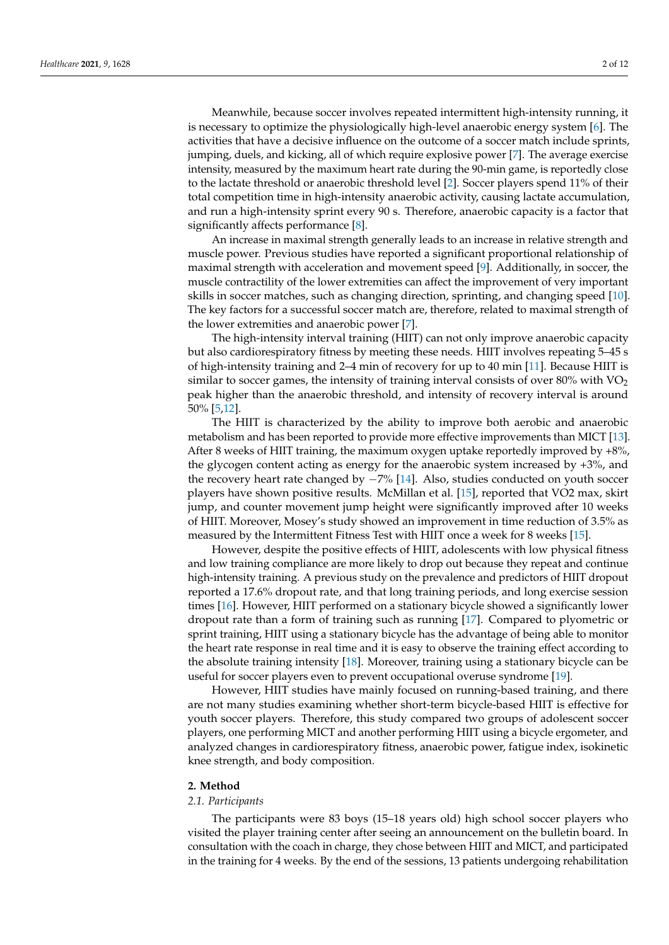Meanwhile, because soccer involves repeated intermittent high-intensity running, it is necessary to optimize the physiologically high-level anaerobic energy system [\[6\]](#page-10-5). The activities that have a decisive influence on the outcome of a soccer match include sprints, jumping, duels, and kicking, all of which require explosive power [\[7\]](#page-10-6). The average exercise intensity, measured by the maximum heart rate during the 90-min game, is reportedly close to the lactate threshold or anaerobic threshold level [\[2\]](#page-10-1). Soccer players spend 11% of their total competition time in high-intensity anaerobic activity, causing lactate accumulation, and run a high-intensity sprint every 90 s. Therefore, anaerobic capacity is a factor that significantly affects performance [\[8\]](#page-10-7).

An increase in maximal strength generally leads to an increase in relative strength and muscle power. Previous studies have reported a significant proportional relationship of maximal strength with acceleration and movement speed [\[9\]](#page-10-8). Additionally, in soccer, the muscle contractility of the lower extremities can affect the improvement of very important skills in soccer matches, such as changing direction, sprinting, and changing speed [\[10\]](#page-10-9). The key factors for a successful soccer match are, therefore, related to maximal strength of the lower extremities and anaerobic power [\[7\]](#page-10-6).

The high-intensity interval training (HIIT) can not only improve anaerobic capacity but also cardiorespiratory fitness by meeting these needs. HIIT involves repeating 5–45 s of high-intensity training and 2–4 min of recovery for up to 40 min [\[11\]](#page-10-10). Because HIIT is similar to soccer games, the intensity of training interval consists of over  $80\%$  with VO<sub>2</sub> peak higher than the anaerobic threshold, and intensity of recovery interval is around 50% [\[5](#page-10-4)[,12\]](#page-10-11).

The HIIT is characterized by the ability to improve both aerobic and anaerobic metabolism and has been reported to provide more effective improvements than MICT [\[13\]](#page-10-12). After 8 weeks of HIIT training, the maximum oxygen uptake reportedly improved by +8%, the glycogen content acting as energy for the anaerobic system increased by +3%, and the recovery heart rate changed by −7% [\[14\]](#page-10-13). Also, studies conducted on youth soccer players have shown positive results. McMillan et al. [\[15\]](#page-10-14), reported that VO2 max, skirt jump, and counter movement jump height were significantly improved after 10 weeks of HIIT. Moreover, Mosey's study showed an improvement in time reduction of 3.5% as measured by the Intermittent Fitness Test with HIIT once a week for 8 weeks [\[15\]](#page-10-14).

However, despite the positive effects of HIIT, adolescents with low physical fitness and low training compliance are more likely to drop out because they repeat and continue high-intensity training. A previous study on the prevalence and predictors of HIIT dropout reported a 17.6% dropout rate, and that long training periods, and long exercise session times [\[16\]](#page-10-15). However, HIIT performed on a stationary bicycle showed a significantly lower dropout rate than a form of training such as running [\[17\]](#page-10-16). Compared to plyometric or sprint training, HIIT using a stationary bicycle has the advantage of being able to monitor the heart rate response in real time and it is easy to observe the training effect according to the absolute training intensity [\[18\]](#page-10-17). Moreover, training using a stationary bicycle can be useful for soccer players even to prevent occupational overuse syndrome [\[19\]](#page-10-18).

However, HIIT studies have mainly focused on running-based training, and there are not many studies examining whether short-term bicycle-based HIIT is effective for youth soccer players. Therefore, this study compared two groups of adolescent soccer players, one performing MICT and another performing HIIT using a bicycle ergometer, and analyzed changes in cardiorespiratory fitness, anaerobic power, fatigue index, isokinetic knee strength, and body composition.

## **2. Method**

#### *2.1. Participants*

The participants were 83 boys (15–18 years old) high school soccer players who visited the player training center after seeing an announcement on the bulletin board. In consultation with the coach in charge, they chose between HIIT and MICT, and participated in the training for 4 weeks. By the end of the sessions, 13 patients undergoing rehabilitation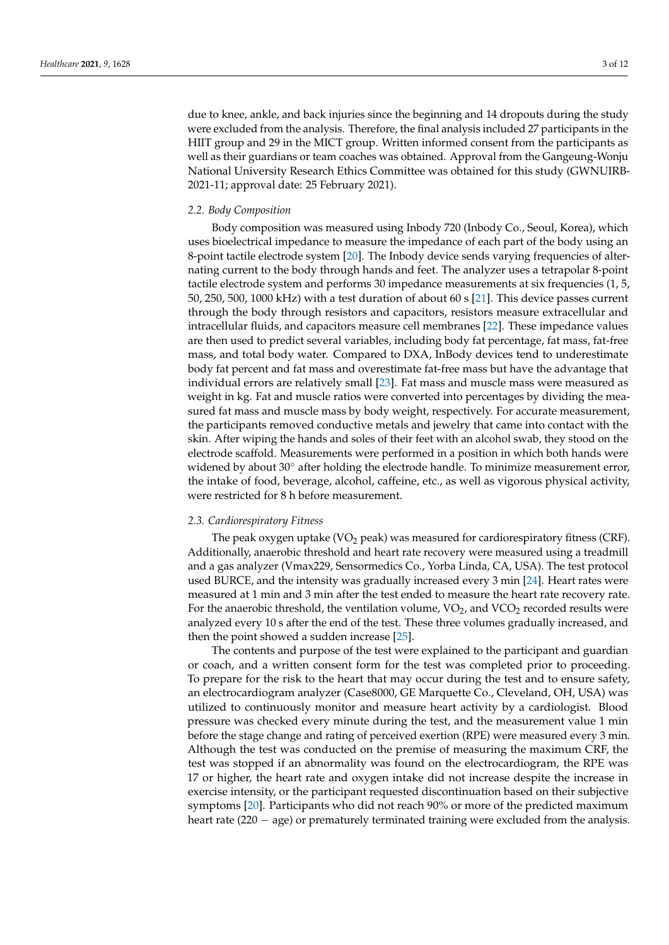due to knee, ankle, and back injuries since the beginning and 14 dropouts during the study were excluded from the analysis. Therefore, the final analysis included 27 participants in the HIIT group and 29 in the MICT group. Written informed consent from the participants as well as their guardians or team coaches was obtained. Approval from the Gangeung-Wonju National University Research Ethics Committee was obtained for this study (GWNUIRB-2021-11; approval date: 25 February 2021).

## *2.2. Body Composition*

Body composition was measured using Inbody 720 (Inbody Co., Seoul, Korea), which uses bioelectrical impedance to measure the impedance of each part of the body using an 8-point tactile electrode system [\[20\]](#page-10-19). The Inbody device sends varying frequencies of alternating current to the body through hands and feet. The analyzer uses a tetrapolar 8-point tactile electrode system and performs 30 impedance measurements at six frequencies (1, 5, 50, 250, 500, 1000 kHz) with a test duration of about 60 s [\[21\]](#page-10-20). This device passes current through the body through resistors and capacitors, resistors measure extracellular and intracellular fluids, and capacitors measure cell membranes [\[22\]](#page-10-21). These impedance values are then used to predict several variables, including body fat percentage, fat mass, fat-free mass, and total body water. Compared to DXA, InBody devices tend to underestimate body fat percent and fat mass and overestimate fat-free mass but have the advantage that individual errors are relatively small [\[23\]](#page-10-22). Fat mass and muscle mass were measured as weight in kg. Fat and muscle ratios were converted into percentages by dividing the measured fat mass and muscle mass by body weight, respectively. For accurate measurement, the participants removed conductive metals and jewelry that came into contact with the skin. After wiping the hands and soles of their feet with an alcohol swab, they stood on the electrode scaffold. Measurements were performed in a position in which both hands were widened by about 30° after holding the electrode handle. To minimize measurement error, the intake of food, beverage, alcohol, caffeine, etc., as well as vigorous physical activity, were restricted for 8 h before measurement.

# *2.3. Cardiorespiratory Fitness*

The peak oxygen uptake  $(VO<sub>2</sub>$  peak) was measured for cardiorespiratory fitness (CRF). Additionally, anaerobic threshold and heart rate recovery were measured using a treadmill and a gas analyzer (Vmax229, Sensormedics Co., Yorba Linda, CA, USA). The test protocol used BURCE, and the intensity was gradually increased every 3 min [\[24\]](#page-10-23). Heart rates were measured at 1 min and 3 min after the test ended to measure the heart rate recovery rate. For the anaerobic threshold, the ventilation volume,  $VO<sub>2</sub>$ , and  $VCO<sub>2</sub>$  recorded results were analyzed every 10 s after the end of the test. These three volumes gradually increased, and then the point showed a sudden increase [\[25\]](#page-10-24).

The contents and purpose of the test were explained to the participant and guardian or coach, and a written consent form for the test was completed prior to proceeding. To prepare for the risk to the heart that may occur during the test and to ensure safety, an electrocardiogram analyzer (Case8000, GE Marquette Co., Cleveland, OH, USA) was utilized to continuously monitor and measure heart activity by a cardiologist. Blood pressure was checked every minute during the test, and the measurement value 1 min before the stage change and rating of perceived exertion (RPE) were measured every 3 min. Although the test was conducted on the premise of measuring the maximum CRF, the test was stopped if an abnormality was found on the electrocardiogram, the RPE was 17 or higher, the heart rate and oxygen intake did not increase despite the increase in exercise intensity, or the participant requested discontinuation based on their subjective symptoms [\[20\]](#page-10-19). Participants who did not reach 90% or more of the predicted maximum heart rate (220 − age) or prematurely terminated training were excluded from the analysis.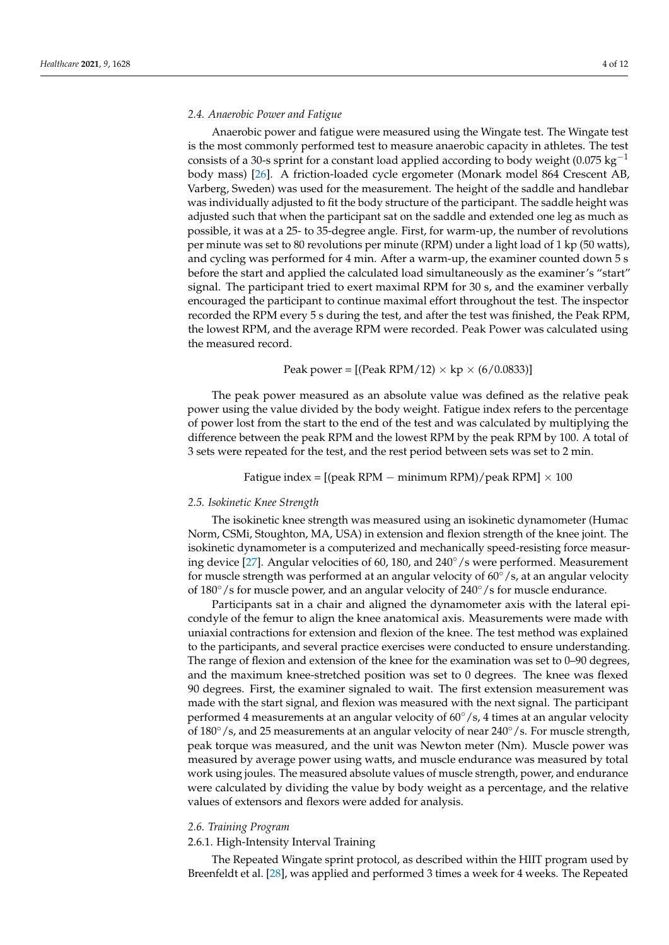# *2.4. Anaerobic Power and Fatigue*

Anaerobic power and fatigue were measured using the Wingate test. The Wingate test is the most commonly performed test to measure anaerobic capacity in athletes. The test consists of a 30-s sprint for a constant load applied according to body weight (0.075 kg<sup>-1</sup> body mass) [\[26\]](#page-10-25). A friction-loaded cycle ergometer (Monark model 864 Crescent AB, Varberg, Sweden) was used for the measurement. The height of the saddle and handlebar was individually adjusted to fit the body structure of the participant. The saddle height was adjusted such that when the participant sat on the saddle and extended one leg as much as possible, it was at a 25- to 35-degree angle. First, for warm-up, the number of revolutions per minute was set to 80 revolutions per minute (RPM) under a light load of 1 kp (50 watts), and cycling was performed for 4 min. After a warm-up, the examiner counted down 5 s before the start and applied the calculated load simultaneously as the examiner's "start" signal. The participant tried to exert maximal RPM for 30 s, and the examiner verbally encouraged the participant to continue maximal effort throughout the test. The inspector recorded the RPM every 5 s during the test, and after the test was finished, the Peak RPM, the lowest RPM, and the average RPM were recorded. Peak Power was calculated using the measured record.

## Peak power =  $[(Peak RPM/12) \times kp \times (6/0.0833)]$

The peak power measured as an absolute value was defined as the relative peak power using the value divided by the body weight. Fatigue index refers to the percentage of power lost from the start to the end of the test and was calculated by multiplying the difference between the peak RPM and the lowest RPM by the peak RPM by 100. A total of 3 sets were repeated for the test, and the rest period between sets was set to 2 min.

Fatigue index =  $[(peak RPM – minimum RPM)/peak RPM] \times 100$ 

## *2.5. Isokinetic Knee Strength*

The isokinetic knee strength was measured using an isokinetic dynamometer (Humac Norm, CSMi, Stoughton, MA, USA) in extension and flexion strength of the knee joint. The isokinetic dynamometer is a computerized and mechanically speed-resisting force measuring device [\[27\]](#page-10-26). Angular velocities of 60, 180, and 240◦/s were performed. Measurement for muscle strength was performed at an angular velocity of  $60°/s$ , at an angular velocity of 180◦/s for muscle power, and an angular velocity of 240◦/s for muscle endurance.

Participants sat in a chair and aligned the dynamometer axis with the lateral epicondyle of the femur to align the knee anatomical axis. Measurements were made with uniaxial contractions for extension and flexion of the knee. The test method was explained to the participants, and several practice exercises were conducted to ensure understanding. The range of flexion and extension of the knee for the examination was set to 0–90 degrees, and the maximum knee-stretched position was set to 0 degrees. The knee was flexed 90 degrees. First, the examiner signaled to wait. The first extension measurement was made with the start signal, and flexion was measured with the next signal. The participant performed 4 measurements at an angular velocity of  $60°/s$ , 4 times at an angular velocity of 180°/s, and 25 measurements at an angular velocity of near 240°/s. For muscle strength, peak torque was measured, and the unit was Newton meter (Nm). Muscle power was measured by average power using watts, and muscle endurance was measured by total work using joules. The measured absolute values of muscle strength, power, and endurance were calculated by dividing the value by body weight as a percentage, and the relative values of extensors and flexors were added for analysis.

## *2.6. Training Program*

# 2.6.1. High-Intensity Interval Training

The Repeated Wingate sprint protocol, as described within the HIIT program used by Breenfeldt et al. [\[28\]](#page-10-27), was applied and performed 3 times a week for 4 weeks. The Repeated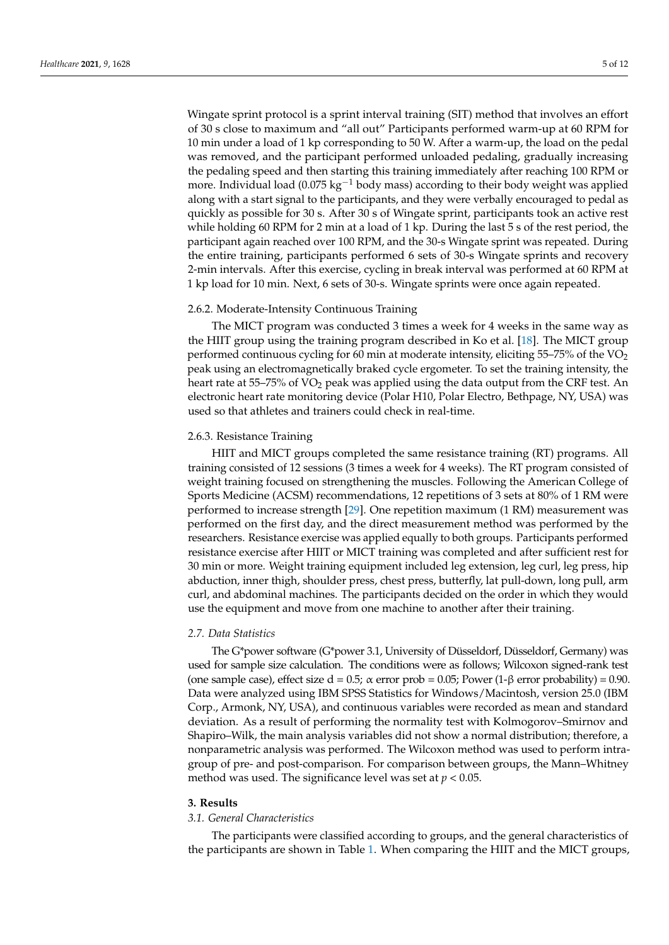Wingate sprint protocol is a sprint interval training (SIT) method that involves an effort of 30 s close to maximum and "all out" Participants performed warm-up at 60 RPM for 10 min under a load of 1 kp corresponding to 50 W. After a warm-up, the load on the pedal was removed, and the participant performed unloaded pedaling, gradually increasing the pedaling speed and then starting this training immediately after reaching 100 RPM or more. Individual load (0.075 kg<sup>-1</sup> body mass) according to their body weight was applied along with a start signal to the participants, and they were verbally encouraged to pedal as quickly as possible for 30 s. After 30 s of Wingate sprint, participants took an active rest while holding 60 RPM for 2 min at a load of 1 kp. During the last 5 s of the rest period, the participant again reached over 100 RPM, and the 30-s Wingate sprint was repeated. During the entire training, participants performed 6 sets of 30-s Wingate sprints and recovery 2-min intervals. After this exercise, cycling in break interval was performed at 60 RPM at 1 kp load for 10 min. Next, 6 sets of 30-s. Wingate sprints were once again repeated.

#### 2.6.2. Moderate-Intensity Continuous Training

The MICT program was conducted 3 times a week for 4 weeks in the same way as the HIIT group using the training program described in Ko et al. [\[18\]](#page-10-17). The MICT group performed continuous cycling for 60 min at moderate intensity, eliciting  $55-75\%$  of the VO<sub>2</sub> peak using an electromagnetically braked cycle ergometer. To set the training intensity, the heart rate at 55–75% of  $VO<sub>2</sub>$  peak was applied using the data output from the CRF test. An electronic heart rate monitoring device (Polar H10, Polar Electro, Bethpage, NY, USA) was used so that athletes and trainers could check in real-time.

## 2.6.3. Resistance Training

HIIT and MICT groups completed the same resistance training (RT) programs. All training consisted of 12 sessions (3 times a week for 4 weeks). The RT program consisted of weight training focused on strengthening the muscles. Following the American College of Sports Medicine (ACSM) recommendations, 12 repetitions of 3 sets at 80% of 1 RM were performed to increase strength [\[29\]](#page-10-28). One repetition maximum (1 RM) measurement was performed on the first day, and the direct measurement method was performed by the researchers. Resistance exercise was applied equally to both groups. Participants performed resistance exercise after HIIT or MICT training was completed and after sufficient rest for 30 min or more. Weight training equipment included leg extension, leg curl, leg press, hip abduction, inner thigh, shoulder press, chest press, butterfly, lat pull-down, long pull, arm curl, and abdominal machines. The participants decided on the order in which they would use the equipment and move from one machine to another after their training.

## *2.7. Data Statistics*

The G\*power software (G\*power 3.1, University of Düsseldorf, Düsseldorf, Germany) was used for sample size calculation. The conditions were as follows; Wilcoxon signed-rank test (one sample case), effect size d = 0.5;  $\alpha$  error prob = 0.05; Power (1- $\beta$  error probability) = 0.90. Data were analyzed using IBM SPSS Statistics for Windows/Macintosh, version 25.0 (IBM Corp., Armonk, NY, USA), and continuous variables were recorded as mean and standard deviation. As a result of performing the normality test with Kolmogorov–Smirnov and Shapiro–Wilk, the main analysis variables did not show a normal distribution; therefore, a nonparametric analysis was performed. The Wilcoxon method was used to perform intragroup of pre- and post-comparison. For comparison between groups, the Mann–Whitney method was used. The significance level was set at  $p < 0.05$ .

# **3. Results**

## *3.1. General Characteristics*

The participants were classified according to groups, and the general characteristics of the participants are shown in Table [1.](#page-5-0) When comparing the HIIT and the MICT groups,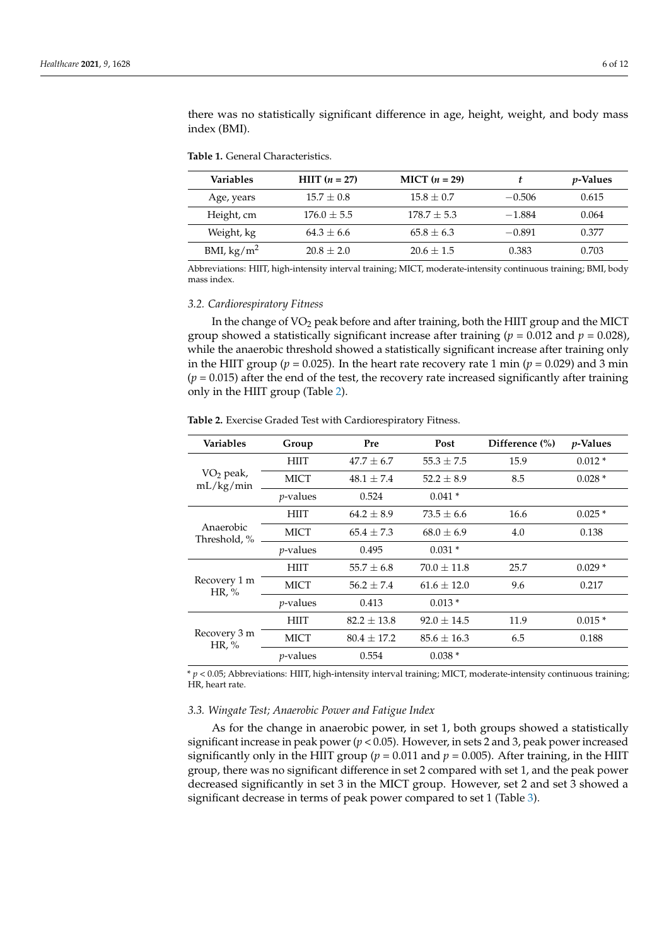there was no statistically significant difference in age, height, weight, and body mass index (BMI).

<span id="page-5-0"></span>**Table 1.** General Characteristics.

| <b>Variables</b>       | <b>HIIT</b> $(n = 27)$ | <b>MICT</b> $(n = 29)$ |          | <i>p</i> -Values |
|------------------------|------------------------|------------------------|----------|------------------|
| Age, years             | $15.7 + 0.8$           | $15.8 + 0.7$           | $-0.506$ | 0.615            |
| Height, cm             | $176.0 + 5.5$          | $178.7 + 5.3$          | $-1.884$ | 0.064            |
| Weight, kg             | $64.3 + 6.6$           | $65.8 + 6.3$           | $-0.891$ | 0.377            |
| BMI, kg/m <sup>2</sup> | $20.8 + 2.0$           | $20.6 + 1.5$           | 0.383    | 0.703            |

Abbreviations: HIIT, high-intensity interval training; MICT, moderate-intensity continuous training; BMI, body mass index.

#### *3.2. Cardiorespiratory Fitness*

In the change of  $VO<sub>2</sub>$  peak before and after training, both the HIIT group and the MICT group showed a statistically significant increase after training ( $p = 0.012$  and  $p = 0.028$ ), while the anaerobic threshold showed a statistically significant increase after training only in the HIIT group ( $p = 0.025$ ). In the heart rate recovery rate 1 min ( $p = 0.029$ ) and 3 min  $(p = 0.015)$  after the end of the test, the recovery rate increased significantly after training only in the HIIT group (Table [2\)](#page-5-1).

| <b>Variables</b>          | Group       | Pre             | Post            | Difference (%) | $p$ -Values |
|---------------------------|-------------|-----------------|-----------------|----------------|-------------|
| $VO2$ peak,<br>mL/kg/min  | <b>HIIT</b> | $47.7 \pm 6.7$  | $55.3 \pm 7.5$  | 15.9           | $0.012*$    |
|                           | <b>MICT</b> | $48.1 \pm 7.4$  | $52.2 \pm 8.9$  | 8.5            | $0.028*$    |
|                           | $p$ -values | 0.524           | $0.041*$        |                |             |
|                           | <b>HIIT</b> | $64.2 \pm 8.9$  | $73.5 \pm 6.6$  | 16.6           | $0.025*$    |
| Anaerobic<br>Threshold, % | MICT        | $65.4 \pm 7.3$  | $68.0 \pm 6.9$  | 4.0            | 0.138       |
|                           | $p$ -values | 0.495           | $0.031*$        |                |             |
| Recovery 1 m<br>HR, $%$   | <b>HIIT</b> | $55.7 \pm 6.8$  | $70.0 \pm 11.8$ | 25.7           | $0.029*$    |
|                           | <b>MICT</b> | $56.2 + 7.4$    | $61.6 \pm 12.0$ | 9.6            | 0.217       |
|                           | $p$ -values | 0.413           | $0.013*$        |                |             |
| Recovery 3 m<br>HR, $%$   | <b>HIIT</b> | $82.2 \pm 13.8$ | $92.0 \pm 14.5$ | 11.9           | $0.015*$    |
|                           | <b>MICT</b> | $80.4 \pm 17.2$ | $85.6 \pm 16.3$ | 6.5            | 0.188       |
|                           | $p$ -values | 0.554           | $0.038*$        |                |             |

<span id="page-5-1"></span>**Table 2.** Exercise Graded Test with Cardiorespiratory Fitness.

\* *p* < 0.05; Abbreviations: HIIT, high-intensity interval training; MICT, moderate-intensity continuous training; HR, heart rate.

#### *3.3. Wingate Test; Anaerobic Power and Fatigue Index*

As for the change in anaerobic power, in set 1, both groups showed a statistically significant increase in peak power (*p* < 0.05). However, in sets 2 and 3, peak power increased significantly only in the HIIT group ( $p = 0.011$  and  $p = 0.005$ ). After training, in the HIIT group, there was no significant difference in set 2 compared with set 1, and the peak power decreased significantly in set 3 in the MICT group. However, set 2 and set 3 showed a significant decrease in terms of peak power compared to set 1 (Table [3\)](#page-6-0).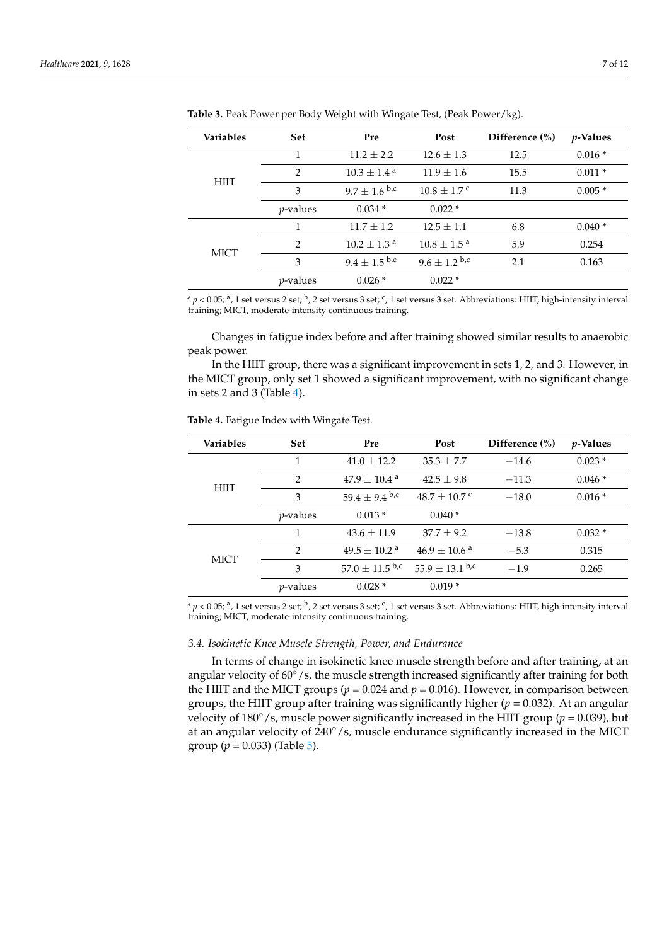| <b>Variables</b> | <b>Set</b>       | Pre                         | Post                      | Difference $(\% )$ | <i>p</i> -Values |
|------------------|------------------|-----------------------------|---------------------------|--------------------|------------------|
| <b>HIIT</b>      | 1                | $11.2 + 2.2$                | $12.6 + 1.3$              | 12.5               | $0.016*$         |
|                  | $\overline{2}$   | $10.3 \pm 1.4$ <sup>a</sup> | $11.9 + 1.6$              | 15.5               | $0.011*$         |
|                  | 3                | $9.7 \pm 1.6$ b,c           | $10.8 + 1.7$ <sup>c</sup> | 11.3               | $0.005*$         |
|                  | <i>p</i> -values | $0.034*$                    | $0.022*$                  |                    |                  |
| <b>MICT</b>      | 1                | $11.7 + 1.2$                | $12.5 + 1.1$              | 6.8                | $0.040*$         |
|                  | $\mathcal{P}$    | $10.2 \pm 1.3$ <sup>a</sup> | $10.8 + 1.5^{\text{a}}$   | 5.9                | 0.254            |
|                  | 3                | $9.4 \pm 1.5$ b,c           | $9.6 \pm 1.2$ b,c         | 2.1                | 0.163            |
|                  | <i>p</i> -values | $0.026*$                    | $0.022*$                  |                    |                  |

<span id="page-6-0"></span>**Table 3.** Peak Power per Body Weight with Wingate Test, (Peak Power/kg).

\* *p* < 0.05; <sup>a</sup>, 1 set versus 2 set; <sup>b</sup>, 2 set versus 3 set; <sup>c</sup>, 1 set versus 3 set. Abbreviations: HIIT, high-intensity interval training; MICT, moderate-intensity continuous training.

Changes in fatigue index before and after training showed similar results to anaerobic peak power.

In the HIIT group, there was a significant improvement in sets 1, 2, and 3. However, in the MICT group, only set 1 showed a significant improvement, with no significant change in sets 2 and 3 (Table [4\)](#page-6-1).

<span id="page-6-1"></span>**Table 4.** Fatigue Index with Wingate Test.

| <b>Variables</b> | <b>Set</b>       | Pre                           | Post                       | Difference $(\% )$ | <i>p</i> -Values |
|------------------|------------------|-------------------------------|----------------------------|--------------------|------------------|
| <b>HIIT</b>      | 1                | $41.0 + 12.2$                 | $35.3 \pm 7.7$             | $-14.6$            | $0.023*$         |
|                  | 2                | $47.9 + 10.4$ <sup>a</sup>    | $42.5 + 9.8$               | $-11.3$            | $0.046*$         |
|                  | 3                | 59.4 $\pm$ 9.4 <sup>b,c</sup> | $48.7 + 10.7$ c            | $-18.0$            | $0.016*$         |
|                  | <i>p</i> -values | $0.013*$                      | $0.040*$                   |                    |                  |
| <b>MICT</b>      | 1                | $43.6 + 11.9$                 | $37.7 + 9.2$               | $-13.8$            | $0.032*$         |
|                  | $\mathcal{P}$    | $49.5 + 10.2$ <sup>a</sup>    | $46.9 + 10.6$ <sup>a</sup> | $-5.3$             | 0.315            |
|                  | 3                | $57.0 \pm 11.5$ b,c           | $55.9 \pm 13.1$ b,c        | $-1.9$             | 0.265            |
|                  | <i>p</i> -values | $0.028*$                      | $0.019*$                   |                    |                  |

\* *p* < 0.05; <sup>a</sup>, 1 set versus 2 set; <sup>b</sup>, 2 set versus 3 set; <sup>c</sup>, 1 set versus 3 set. Abbreviations: HIIT, high-intensity interval training; MICT, moderate-intensity continuous training.

#### *3.4. Isokinetic Knee Muscle Strength, Power, and Endurance*

In terms of change in isokinetic knee muscle strength before and after training, at an angular velocity of 60°/s, the muscle strength increased significantly after training for both the HIIT and the MICT groups ( $p = 0.024$  and  $p = 0.016$ ). However, in comparison between groups, the HIIT group after training was significantly higher ( $p = 0.032$ ). At an angular velocity of 180◦/s, muscle power significantly increased in the HIIT group (*p* = 0.039), but at an angular velocity of 240◦/s, muscle endurance significantly increased in the MICT group ( $p = 0.033$ ) (Table [5\)](#page-7-0).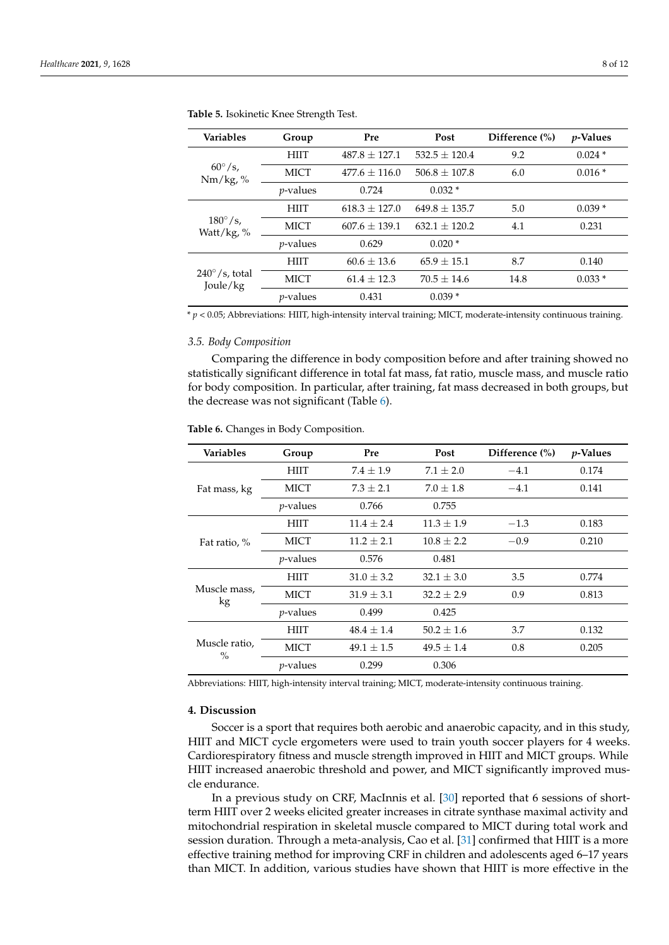| <b>Variables</b>                    | Group            | Pre               | Post              | Difference (%) | <i>p</i> -Values |
|-------------------------------------|------------------|-------------------|-------------------|----------------|------------------|
| $60^{\circ}/s$ ,<br>$Nm/kg, \%$     | <b>HIIT</b>      | $487.8 \pm 127.1$ | $532.5 \pm 120.4$ | 9.2            | $0.024*$         |
|                                     | <b>MICT</b>      | $477.6 \pm 116.0$ | $506.8 + 107.8$   | 6.0            | $0.016*$         |
|                                     | <i>p</i> -values | 0.724             | $0.032*$          |                |                  |
| $180^\circ$ /s,<br>Watt/kg, %       | <b>HIIT</b>      | $618.3 + 127.0$   | $649.8 + 135.7$   | 5.0            | $0.039*$         |
|                                     | <b>MICT</b>      | $607.6 \pm 139.1$ | $632.1 \pm 120.2$ | 4.1            | 0.231            |
|                                     | $p$ -values      | 0.629             | $0.020*$          |                |                  |
| $240^{\circ}/s$ , total<br>Joule/kg | <b>HIIT</b>      | $60.6 \pm 13.6$   | $65.9 \pm 15.1$   | 8.7            | 0.140            |
|                                     | <b>MICT</b>      | $61.4 \pm 12.3$   | $70.5 \pm 14.6$   | 14.8           | $0.033*$         |
|                                     | $p$ -values      | 0.431             | $0.039*$          |                |                  |

<span id="page-7-0"></span>**Table 5.** Isokinetic Knee Strength Test.

\* *p* < 0.05; Abbreviations: HIIT, high-intensity interval training; MICT, moderate-intensity continuous training.

## *3.5. Body Composition*

Comparing the difference in body composition before and after training showed no statistically significant difference in total fat mass, fat ratio, muscle mass, and muscle ratio for body composition. In particular, after training, fat mass decreased in both groups, but the decrease was not significant (Table [6\)](#page-7-1).

<span id="page-7-1"></span>**Table 6.** Changes in Body Composition.

| Variables             | Group            | Pre            | Post           | Difference (%) | <i>p</i> -Values |
|-----------------------|------------------|----------------|----------------|----------------|------------------|
| Fat mass, kg          | HIIT             | $7.4 \pm 1.9$  | $7.1 \pm 2.0$  | $-4.1$         | 0.174            |
|                       | <b>MICT</b>      | $7.3 + 2.1$    | $7.0 \pm 1.8$  | $-4.1$         | 0.141            |
|                       | <i>p</i> -values | 0.766          | 0.755          |                |                  |
|                       | HIIT             | $11.4 + 2.4$   | $11.3 \pm 1.9$ | $-1.3$         | 0.183            |
| Fat ratio, %          | MICT             | $11.2 + 2.1$   | $10.8 + 2.2$   | $-0.9$         | 0.210            |
|                       | <i>p</i> -values | 0.576          | 0.481          |                |                  |
| Muscle mass,<br>kg    | HIIT             | $31.0 \pm 3.2$ | $32.1 \pm 3.0$ | 3.5            | 0.774            |
|                       | MICT             | $31.9 \pm 3.1$ | $32.2 \pm 2.9$ | 0.9            | 0.813            |
|                       | <i>p</i> -values | 0.499          | 0.425          |                |                  |
| Muscle ratio,<br>$\%$ | HIIT             | $48.4 \pm 1.4$ | $50.2 \pm 1.6$ | 3.7            | 0.132            |
|                       | MICT             | $49.1 \pm 1.5$ | $49.5 \pm 1.4$ | 0.8            | 0.205            |
|                       | <i>p</i> -values | 0.299          | 0.306          |                |                  |

Abbreviations: HIIT, high-intensity interval training; MICT, moderate-intensity continuous training.

# **4. Discussion**

Soccer is a sport that requires both aerobic and anaerobic capacity, and in this study, HIIT and MICT cycle ergometers were used to train youth soccer players for 4 weeks. Cardiorespiratory fitness and muscle strength improved in HIIT and MICT groups. While HIIT increased anaerobic threshold and power, and MICT significantly improved muscle endurance.

In a previous study on CRF, MacInnis et al. [\[30\]](#page-11-0) reported that 6 sessions of shortterm HIIT over 2 weeks elicited greater increases in citrate synthase maximal activity and mitochondrial respiration in skeletal muscle compared to MICT during total work and session duration. Through a meta-analysis, Cao et al. [\[31\]](#page-11-1) confirmed that HIIT is a more effective training method for improving CRF in children and adolescents aged 6–17 years than MICT. In addition, various studies have shown that HIIT is more effective in the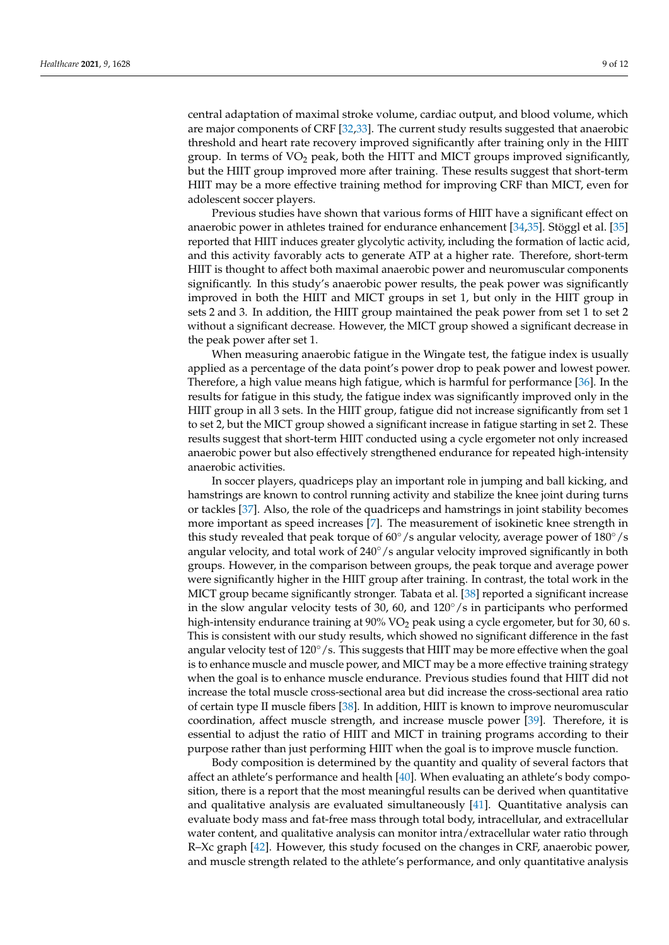central adaptation of maximal stroke volume, cardiac output, and blood volume, which are major components of CRF [\[32,](#page-11-2)[33\]](#page-11-3). The current study results suggested that anaerobic threshold and heart rate recovery improved significantly after training only in the HIIT group. In terms of  $VO<sub>2</sub>$  peak, both the HITT and MICT groups improved significantly, but the HIIT group improved more after training. These results suggest that short-term HIIT may be a more effective training method for improving CRF than MICT, even for adolescent soccer players.

Previous studies have shown that various forms of HIIT have a significant effect on anaerobic power in athletes trained for endurance enhancement [\[34](#page-11-4)[,35\]](#page-11-5). Stöggl et al. [\[35\]](#page-11-5) reported that HIIT induces greater glycolytic activity, including the formation of lactic acid, and this activity favorably acts to generate ATP at a higher rate. Therefore, short-term HIIT is thought to affect both maximal anaerobic power and neuromuscular components significantly. In this study's anaerobic power results, the peak power was significantly improved in both the HIIT and MICT groups in set 1, but only in the HIIT group in sets 2 and 3. In addition, the HIIT group maintained the peak power from set 1 to set 2 without a significant decrease. However, the MICT group showed a significant decrease in the peak power after set 1.

When measuring anaerobic fatigue in the Wingate test, the fatigue index is usually applied as a percentage of the data point's power drop to peak power and lowest power. Therefore, a high value means high fatigue, which is harmful for performance [\[36\]](#page-11-6). In the results for fatigue in this study, the fatigue index was significantly improved only in the HIIT group in all 3 sets. In the HIIT group, fatigue did not increase significantly from set 1 to set 2, but the MICT group showed a significant increase in fatigue starting in set 2. These results suggest that short-term HIIT conducted using a cycle ergometer not only increased anaerobic power but also effectively strengthened endurance for repeated high-intensity anaerobic activities.

In soccer players, quadriceps play an important role in jumping and ball kicking, and hamstrings are known to control running activity and stabilize the knee joint during turns or tackles [\[37\]](#page-11-7). Also, the role of the quadriceps and hamstrings in joint stability becomes more important as speed increases [\[7\]](#page-10-6). The measurement of isokinetic knee strength in this study revealed that peak torque of  $60°/s$  angular velocity, average power of  $180°/s$ angular velocity, and total work of  $240°/s$  angular velocity improved significantly in both groups. However, in the comparison between groups, the peak torque and average power were significantly higher in the HIIT group after training. In contrast, the total work in the MICT group became significantly stronger. Tabata et al. [\[38\]](#page-11-8) reported a significant increase in the slow angular velocity tests of 30, 60, and  $120°/s$  in participants who performed high-intensity endurance training at 90% VO<sub>2</sub> peak using a cycle ergometer, but for 30, 60 s. This is consistent with our study results, which showed no significant difference in the fast angular velocity test of 120°/s. This suggests that HIIT may be more effective when the goal is to enhance muscle and muscle power, and MICT may be a more effective training strategy when the goal is to enhance muscle endurance. Previous studies found that HIIT did not increase the total muscle cross-sectional area but did increase the cross-sectional area ratio of certain type II muscle fibers [\[38\]](#page-11-8). In addition, HIIT is known to improve neuromuscular coordination, affect muscle strength, and increase muscle power [\[39\]](#page-11-9). Therefore, it is essential to adjust the ratio of HIIT and MICT in training programs according to their purpose rather than just performing HIIT when the goal is to improve muscle function.

Body composition is determined by the quantity and quality of several factors that affect an athlete's performance and health [\[40\]](#page-11-10). When evaluating an athlete's body composition, there is a report that the most meaningful results can be derived when quantitative and qualitative analysis are evaluated simultaneously [\[41\]](#page-11-11). Quantitative analysis can evaluate body mass and fat-free mass through total body, intracellular, and extracellular water content, and qualitative analysis can monitor intra/extracellular water ratio through R–Xc graph [\[42\]](#page-11-12). However, this study focused on the changes in CRF, anaerobic power, and muscle strength related to the athlete's performance, and only quantitative analysis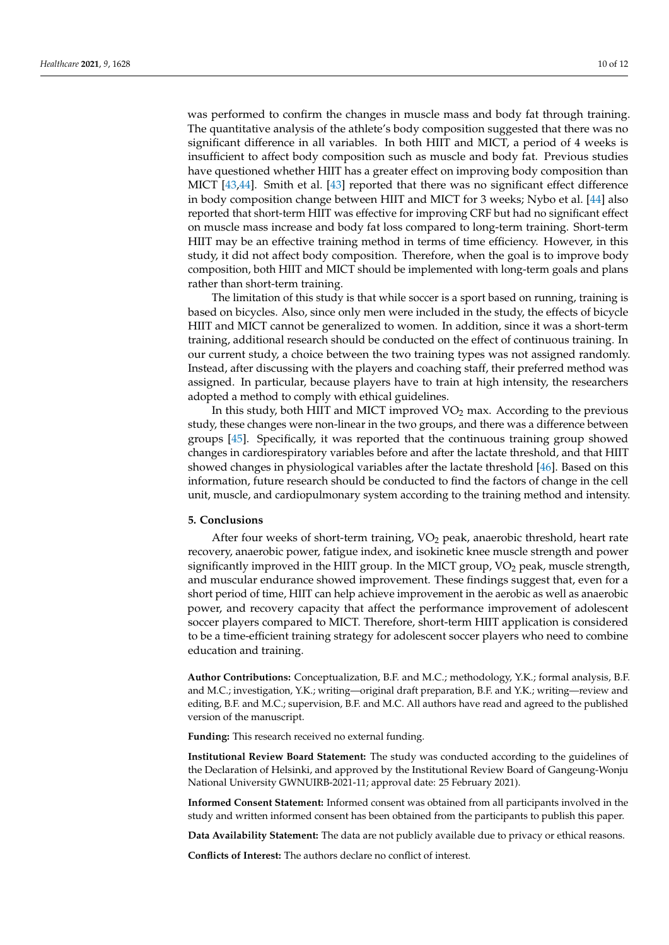was performed to confirm the changes in muscle mass and body fat through training. The quantitative analysis of the athlete's body composition suggested that there was no significant difference in all variables. In both HIIT and MICT, a period of 4 weeks is insufficient to affect body composition such as muscle and body fat. Previous studies have questioned whether HIIT has a greater effect on improving body composition than MICT [\[43,](#page-11-13)[44\]](#page-11-14). Smith et al. [\[43\]](#page-11-13) reported that there was no significant effect difference in body composition change between HIIT and MICT for 3 weeks; Nybo et al. [\[44\]](#page-11-14) also reported that short-term HIIT was effective for improving CRF but had no significant effect on muscle mass increase and body fat loss compared to long-term training. Short-term HIIT may be an effective training method in terms of time efficiency. However, in this study, it did not affect body composition. Therefore, when the goal is to improve body

rather than short-term training. The limitation of this study is that while soccer is a sport based on running, training is based on bicycles. Also, since only men were included in the study, the effects of bicycle HIIT and MICT cannot be generalized to women. In addition, since it was a short-term training, additional research should be conducted on the effect of continuous training. In our current study, a choice between the two training types was not assigned randomly. Instead, after discussing with the players and coaching staff, their preferred method was assigned. In particular, because players have to train at high intensity, the researchers adopted a method to comply with ethical guidelines.

composition, both HIIT and MICT should be implemented with long-term goals and plans

In this study, both HIIT and MICT improved  $VO<sub>2</sub>$  max. According to the previous study, these changes were non-linear in the two groups, and there was a difference between groups [\[45\]](#page-11-15). Specifically, it was reported that the continuous training group showed changes in cardiorespiratory variables before and after the lactate threshold, and that HIIT showed changes in physiological variables after the lactate threshold [\[46\]](#page-11-16). Based on this information, future research should be conducted to find the factors of change in the cell unit, muscle, and cardiopulmonary system according to the training method and intensity.

# **5. Conclusions**

After four weeks of short-term training,  $VO<sub>2</sub>$  peak, anaerobic threshold, heart rate recovery, anaerobic power, fatigue index, and isokinetic knee muscle strength and power significantly improved in the HIIT group. In the MICT group,  $VO<sub>2</sub>$  peak, muscle strength, and muscular endurance showed improvement. These findings suggest that, even for a short period of time, HIIT can help achieve improvement in the aerobic as well as anaerobic power, and recovery capacity that affect the performance improvement of adolescent soccer players compared to MICT. Therefore, short-term HIIT application is considered to be a time-efficient training strategy for adolescent soccer players who need to combine education and training.

**Author Contributions:** Conceptualization, B.F. and M.C.; methodology, Y.K.; formal analysis, B.F. and M.C.; investigation, Y.K.; writing—original draft preparation, B.F. and Y.K.; writing—review and editing, B.F. and M.C.; supervision, B.F. and M.C. All authors have read and agreed to the published version of the manuscript.

**Funding:** This research received no external funding.

**Institutional Review Board Statement:** The study was conducted according to the guidelines of the Declaration of Helsinki, and approved by the Institutional Review Board of Gangeung-Wonju National University GWNUIRB-2021-11; approval date: 25 February 2021).

**Informed Consent Statement:** Informed consent was obtained from all participants involved in the study and written informed consent has been obtained from the participants to publish this paper.

**Data Availability Statement:** The data are not publicly available due to privacy or ethical reasons.

**Conflicts of Interest:** The authors declare no conflict of interest.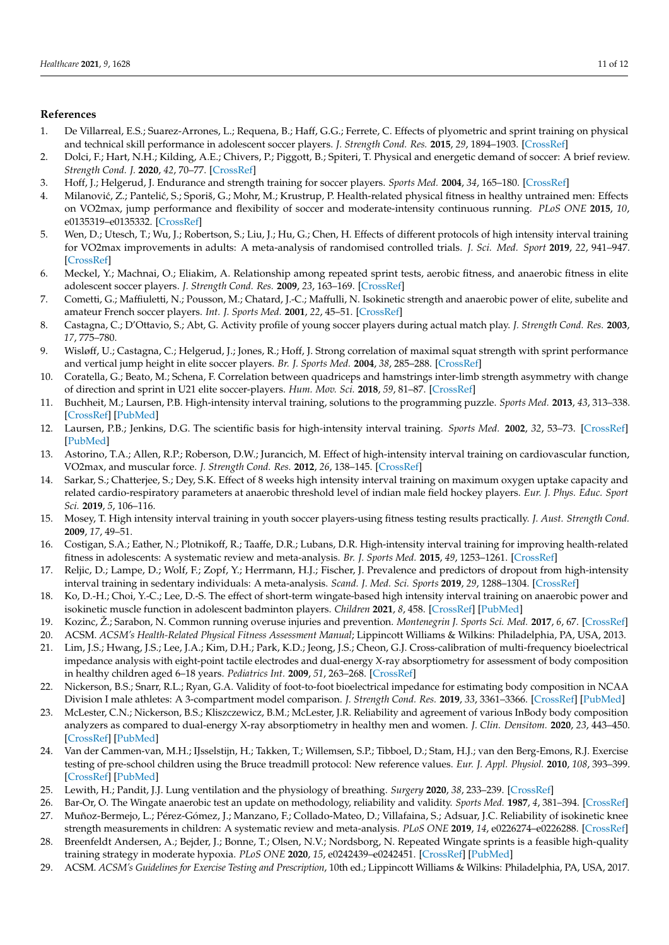# **References**

- <span id="page-10-0"></span>1. De Villarreal, E.S.; Suarez-Arrones, L.; Requena, B.; Haff, G.G.; Ferrete, C. Effects of plyometric and sprint training on physical and technical skill performance in adolescent soccer players. *J. Strength Cond. Res.* **2015**, *29*, 1894–1903. [\[CrossRef\]](http://doi.org/10.1519/JSC.0000000000000838)
- <span id="page-10-1"></span>2. Dolci, F.; Hart, N.H.; Kilding, A.E.; Chivers, P.; Piggott, B.; Spiteri, T. Physical and energetic demand of soccer: A brief review. *Strength Cond. J.* **2020**, *42*, 70–77. [\[CrossRef\]](http://doi.org/10.1519/SSC.0000000000000533)
- <span id="page-10-2"></span>3. Hoff, J.; Helgerud, J. Endurance and strength training for soccer players. *Sports Med.* **2004**, *34*, 165–180. [\[CrossRef\]](http://doi.org/10.2165/00007256-200434030-00003)
- <span id="page-10-3"></span>4. Milanović, Z.; Pantelić, S.; Sporiš, G.; Mohr, M.; Krustrup, P. Health-related physical fitness in healthy untrained men: Effects on VO2max, jump performance and flexibility of soccer and moderate-intensity continuous running. *PLoS ONE* **2015**, *10*, e0135319–e0135332. [\[CrossRef\]](http://doi.org/10.1371/journal.pone.0135319)
- <span id="page-10-4"></span>5. Wen, D.; Utesch, T.; Wu, J.; Robertson, S.; Liu, J.; Hu, G.; Chen, H. Effects of different protocols of high intensity interval training for VO2max improvements in adults: A meta-analysis of randomised controlled trials. *J. Sci. Med. Sport* **2019**, *22*, 941–947. [\[CrossRef\]](http://doi.org/10.1016/j.jsams.2019.01.013)
- <span id="page-10-5"></span>6. Meckel, Y.; Machnai, O.; Eliakim, A. Relationship among repeated sprint tests, aerobic fitness, and anaerobic fitness in elite adolescent soccer players. *J. Strength Cond. Res.* **2009**, *23*, 163–169. [\[CrossRef\]](http://doi.org/10.1519/JSC.0b013e31818b9651)
- <span id="page-10-6"></span>7. Cometti, G.; Maffiuletti, N.; Pousson, M.; Chatard, J.-C.; Maffulli, N. Isokinetic strength and anaerobic power of elite, subelite and amateur French soccer players. *Int. J. Sports Med.* **2001**, *22*, 45–51. [\[CrossRef\]](http://doi.org/10.1055/s-2001-11331)
- <span id="page-10-7"></span>8. Castagna, C.; D'Ottavio, S.; Abt, G. Activity profile of young soccer players during actual match play. *J. Strength Cond. Res.* **2003**, *17*, 775–780.
- <span id="page-10-8"></span>9. Wisløff, U.; Castagna, C.; Helgerud, J.; Jones, R.; Hoff, J. Strong correlation of maximal squat strength with sprint performance and vertical jump height in elite soccer players. *Br. J. Sports Med.* **2004**, *38*, 285–288. [\[CrossRef\]](http://doi.org/10.1136/bjsm.2002.002071)
- <span id="page-10-9"></span>10. Coratella, G.; Beato, M.; Schena, F. Correlation between quadriceps and hamstrings inter-limb strength asymmetry with change of direction and sprint in U21 elite soccer-players. *Hum. Mov. Sci.* **2018**, *59*, 81–87. [\[CrossRef\]](http://doi.org/10.1016/j.humov.2018.03.016)
- <span id="page-10-10"></span>11. Buchheit, M.; Laursen, P.B. High-intensity interval training, solutions to the programming puzzle. *Sports Med.* **2013**, *43*, 313–338. [\[CrossRef\]](http://doi.org/10.1007/s40279-013-0029-x) [\[PubMed\]](http://www.ncbi.nlm.nih.gov/pubmed/23539308)
- <span id="page-10-11"></span>12. Laursen, P.B.; Jenkins, D.G. The scientific basis for high-intensity interval training. *Sports Med.* **2002**, *32*, 53–73. [\[CrossRef\]](http://doi.org/10.2165/00007256-200232010-00003) [\[PubMed\]](http://www.ncbi.nlm.nih.gov/pubmed/11772161)
- <span id="page-10-12"></span>13. Astorino, T.A.; Allen, R.P.; Roberson, D.W.; Jurancich, M. Effect of high-intensity interval training on cardiovascular function, VO2max, and muscular force. *J. Strength Cond. Res.* **2012**, *26*, 138–145. [\[CrossRef\]](http://doi.org/10.1519/JSC.0b013e318218dd77)
- <span id="page-10-13"></span>14. Sarkar, S.; Chatterjee, S.; Dey, S.K. Effect of 8 weeks high intensity interval training on maximum oxygen uptake capacity and related cardio-respiratory parameters at anaerobic threshold level of indian male field hockey players. *Eur. J. Phys. Educ. Sport Sci.* **2019**, *5*, 106–116.
- <span id="page-10-14"></span>15. Mosey, T. High intensity interval training in youth soccer players-using fitness testing results practically. *J. Aust. Strength Cond.* **2009**, *17*, 49–51.
- <span id="page-10-15"></span>16. Costigan, S.A.; Eather, N.; Plotnikoff, R.; Taaffe, D.R.; Lubans, D.R. High-intensity interval training for improving health-related fitness in adolescents: A systematic review and meta-analysis. *Br. J. Sports Med.* **2015**, *49*, 1253–1261. [\[CrossRef\]](http://doi.org/10.1136/bjsports-2014-094490)
- <span id="page-10-16"></span>17. Reljic, D.; Lampe, D.; Wolf, F.; Zopf, Y.; Herrmann, H.J.; Fischer, J. Prevalence and predictors of dropout from high-intensity interval training in sedentary individuals: A meta-analysis. *Scand. J. Med. Sci. Sports* **2019**, *29*, 1288–1304. [\[CrossRef\]](http://doi.org/10.1111/sms.13452)
- <span id="page-10-17"></span>18. Ko, D.-H.; Choi, Y.-C.; Lee, D.-S. The effect of short-term wingate-based high intensity interval training on anaerobic power and isokinetic muscle function in adolescent badminton players. *Children* **2021**, *8*, 458. [\[CrossRef\]](http://doi.org/10.3390/children8060458) [\[PubMed\]](http://www.ncbi.nlm.nih.gov/pubmed/34072755)
- <span id="page-10-18"></span>19. Kozinc, Ž.; Sarabon, N. Common running overuse injuries and prevention. *Montenegrin J. Sports Sci. Med.* **2017**, *6*, 67. [\[CrossRef\]](http://doi.org/10.26773/mjssm.2017.09.009)
- <span id="page-10-19"></span>20. ACSM. *ACSM's Health-Related Physical Fitness Assessment Manual*; Lippincott Williams & Wilkins: Philadelphia, PA, USA, 2013.
- <span id="page-10-20"></span>21. Lim, J.S.; Hwang, J.S.; Lee, J.A.; Kim, D.H.; Park, K.D.; Jeong, J.S.; Cheon, G.J. Cross-calibration of multi-frequency bioelectrical impedance analysis with eight-point tactile electrodes and dual-energy X-ray absorptiometry for assessment of body composition in healthy children aged 6–18 years. *Pediatrics Int.* **2009**, *51*, 263–268. [\[CrossRef\]](http://doi.org/10.1111/j.1442-200X.2008.02698.x)
- <span id="page-10-21"></span>22. Nickerson, B.S.; Snarr, R.L.; Ryan, G.A. Validity of foot-to-foot bioelectrical impedance for estimating body composition in NCAA Division I male athletes: A 3-compartment model comparison. *J. Strength Cond. Res.* **2019**, *33*, 3361–3366. [\[CrossRef\]](http://doi.org/10.1519/JSC.0000000000002999) [\[PubMed\]](http://www.ncbi.nlm.nih.gov/pubmed/30789577)
- <span id="page-10-22"></span>23. McLester, C.N.; Nickerson, B.S.; Kliszczewicz, B.M.; McLester, J.R. Reliability and agreement of various InBody body composition analyzers as compared to dual-energy X-ray absorptiometry in healthy men and women. *J. Clin. Densitom.* **2020**, *23*, 443–450. [\[CrossRef\]](http://doi.org/10.1016/j.jocd.2018.10.008) [\[PubMed\]](http://www.ncbi.nlm.nih.gov/pubmed/30472111)
- <span id="page-10-23"></span>24. Van der Cammen-van, M.H.; IJsselstijn, H.; Takken, T.; Willemsen, S.P.; Tibboel, D.; Stam, H.J.; van den Berg-Emons, R.J. Exercise testing of pre-school children using the Bruce treadmill protocol: New reference values. *Eur. J. Appl. Physiol.* **2010**, *108*, 393–399. [\[CrossRef\]](http://doi.org/10.1007/s00421-009-1236-x) [\[PubMed\]](http://www.ncbi.nlm.nih.gov/pubmed/19821120)
- <span id="page-10-24"></span>25. Lewith, H.; Pandit, J.J. Lung ventilation and the physiology of breathing. *Surgery* **2020**, *38*, 233–239. [\[CrossRef\]](http://doi.org/10.1016/j.mpsur.2020.03.005)
- <span id="page-10-25"></span>26. Bar-Or, O. The Wingate anaerobic test an update on methodology, reliability and validity. *Sports Med.* **1987**, *4*, 381–394. [\[CrossRef\]](http://doi.org/10.2165/00007256-198704060-00001)
- <span id="page-10-26"></span>27. Muñoz-Bermejo, L.; Pérez-Gómez, J.; Manzano, F.; Collado-Mateo, D.; Villafaina, S.; Adsuar, J.C. Reliability of isokinetic knee strength measurements in children: A systematic review and meta-analysis. *PLoS ONE* **2019**, *14*, e0226274–e0226288. [\[CrossRef\]](http://doi.org/10.1371/journal.pone.0226274)
- <span id="page-10-27"></span>28. Breenfeldt Andersen, A.; Bejder, J.; Bonne, T.; Olsen, N.V.; Nordsborg, N. Repeated Wingate sprints is a feasible high-quality training strategy in moderate hypoxia. *PLoS ONE* **2020**, *15*, e0242439–e0242451. [\[CrossRef\]](http://doi.org/10.1371/journal.pone.0242439) [\[PubMed\]](http://www.ncbi.nlm.nih.gov/pubmed/33186393)
- <span id="page-10-28"></span>29. ACSM. *ACSM's Guidelines for Exercise Testing and Prescription*, 10th ed.; Lippincott Williams & Wilkins: Philadelphia, PA, USA, 2017.